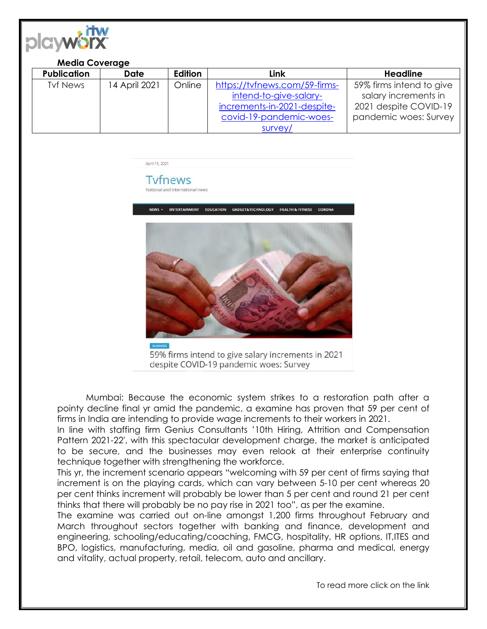

## **Media Coverage**

| <b>Publication</b> | <b>Date</b>   | Edition | Link                          | <b>Headline</b>          |
|--------------------|---------------|---------|-------------------------------|--------------------------|
| <b>Tyf News</b>    | 14 April 2021 | Online  | https://tvfnews.com/59-firms- | 59% firms intend to give |
|                    |               |         | intend-to-give-salary-        | salary increments in     |
|                    |               |         | increments-in-2021-despite-   | 2021 despite COVID-19    |
|                    |               |         | covid-19-pandemic-woes-       | pandemic woes: Survey    |
|                    |               |         | survey/                       |                          |

April 15, 2021

**Tyfnews** National and International news



59% firms intend to give salary increments in 2021 despite COVID-19 pandemic woes: Survey

Mumbai: Because the economic system strikes to a restoration path after a pointy decline final yr amid the pandemic, a examine has proven that 59 per cent of firms in India are intending to provide wage increments to their workers in 2021.

In line with staffing firm Genius Consultants '10th Hiring, Attrition and Compensation Pattern 2021-22′, with this spectacular development charge, the market is anticipated to be secure, and the businesses may even relook at their enterprise continuity technique together with strengthening the workforce.

This yr, the increment scenario appears "welcoming with 59 per cent of firms saying that increment is on the playing cards, which can vary between 5-10 per cent whereas 20 per cent thinks increment will probably be lower than 5 per cent and round 21 per cent thinks that there will probably be no pay rise in 2021 too", as per the examine.

The examine was carried out on-line amongst 1,200 firms throughout February and March throughout sectors together with banking and finance, development and engineering, schooling/educating/coaching, FMCG, hospitality, HR options, IT,ITES and BPO, logistics, manufacturing, media, oil and gasoline, pharma and medical, energy and vitality, actual property, retail, telecom, auto and ancillary.

To read more click on the link